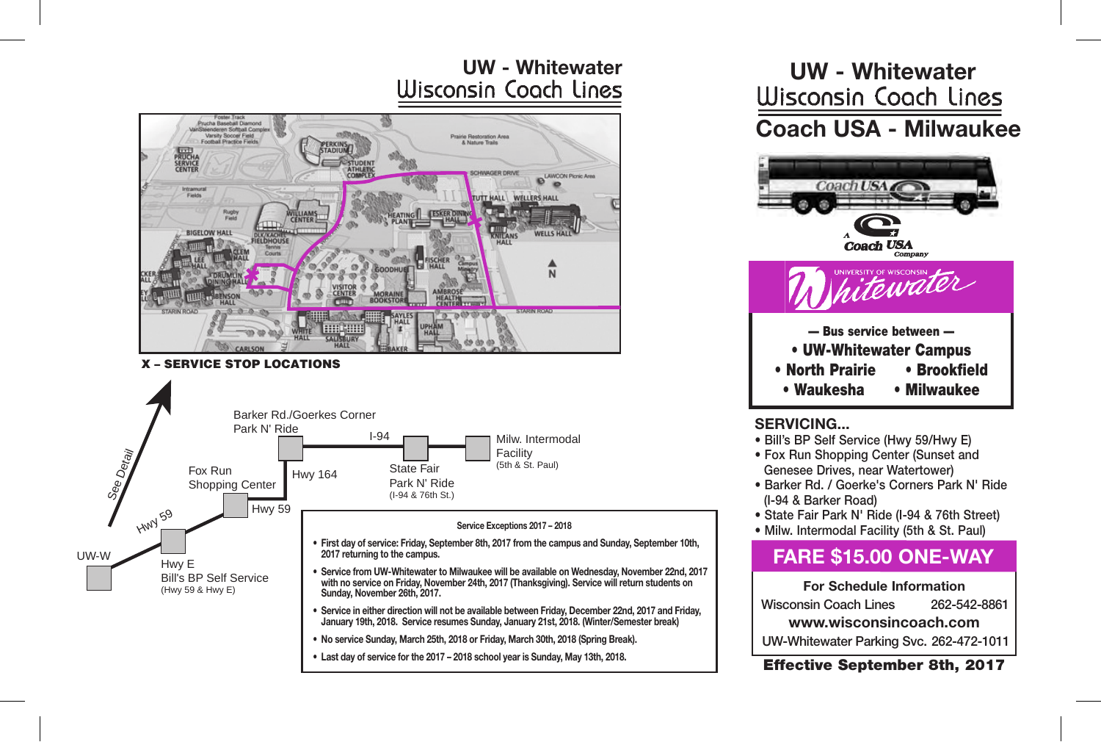# **UW - Whitewater UW - Whitewater**



#### X – SERVICE STOP LOCATIONS



## **Coach USA - Milwaukee Coach USA - Milwaukee UW - Whitewater UW - Whitewater UW - Whitewater UW - Whitewater** <u>Coach Coden Childs</u>



#### **SERVICING... SERVICING...**

- Bill's BP Self Service (Hwy 59/Hwy E)
- Fox Run Shopping Center (Sunset and • Fox Run Shopping Center Genesee Drives, near Watertower) • Fox Run Shopping Center
- Barker Rd. / Goerke's Corners Park N' Ride Barker Rd. / Goerke's Corners Park N' Ride Barker Rd. / Goerke's Corners Park N' Ride • Barker Hall, Science 3 Comers Fair N' Filled<br>(I-94 & Barker Road)
- State Fair Park N' Ride (I-94 & 76th Street)
- **Milw. Intermodal Facility (5th & St. Paul)**

### **FARE \$15.00 ONE-WAY For Schedule Information**

#### **For Schedule Information**

Wisconsin Coach Lines 262-542-8861 Wisconsin Coach Lines 262-542-8861 Wisconsin Coach Lines 262-542-8861

**www.wisconsincoach.com www.wisconsincoach.comwww.wisconsincoach.com**

UW-Whitewater Parking Svc. 262-472-1011

#### Effective September 8th, 2017  $\mathcal{L}$  =  $\mathcal{L}$  . The reverse side positions  $\mathcal{L}$  on  $\mathcal{L}$